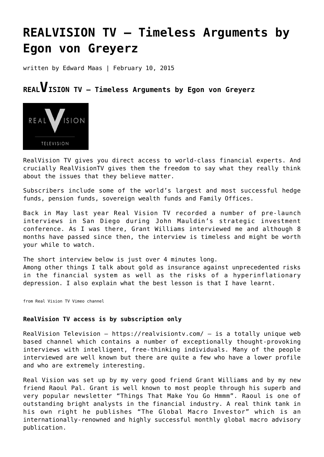## **[REALVISION TV – Timeless Arguments by](https://goldswitzerland.com/realvision-tv-timeless-arguments-by-egon-von-greyerz/) [Egon von Greyerz](https://goldswitzerland.com/realvision-tv-timeless-arguments-by-egon-von-greyerz/)**

written by Edward Maas | February 10, 2015

## **REALVISION TV – Timeless Arguments by Egon von Greyerz**



RealVision TV gives you direct access to world-class financial experts. And crucially RealVisionTV gives them the freedom to say what they really think about the issues that they believe matter.

Subscribers include some of the world's largest and most successful hedge funds, pension funds, sovereign wealth funds and Family Offices.

Back in May last year Real Vision TV recorded a number of pre-launch interviews in San Diego during John Mauldin's strategic investment conference. As I was there, Grant Williams interviewed me and although 8 months have passed since then, the interview is timeless and might be worth your while to watch.

The short interview below is just over 4 minutes long. Among other things I talk about gold as insurance against unprecedented risks in the financial system as well as the risks of a hyperinflationary depression. I also explain what the best lesson is that I have learnt.

from [Real Vision TV Vimeo channel](http://vimeo.com/realvisiontv)

## **RealVision TV access is by subscription only**

RealVision Television – <https://realvisiontv.com/> – is a totally unique web based channel which contains a number of exceptionally thought-provoking interviews with intelligent, free-thinking individuals. Many of the people interviewed are well known but there are quite a few who have a lower profile and who are extremely interesting.

Real Vision was set up by my very good friend Grant Williams and by my new friend Raoul Pal. Grant is well known to most people through his superb and very popular newsletter "[Things That Make You Go Hmmm"](http://ttmygh.com/). Raoul is one of outstanding bright analysts in the financial industry. A real think tank in his own right he publishes "[The Global Macro Investor](http://www.globalmacroinvestor.com/)" which is an internationally-renowned and highly successful monthly global macro advisory publication.